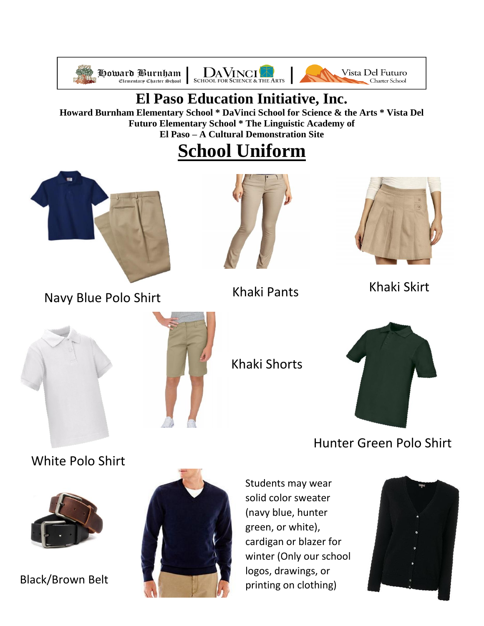





### **El Paso Education Initiative, Inc.**

**Howard Burnham Elementary School \* DaVinci School for Science & the Arts \* Vista Del Futuro Elementary School \* The Linguistic Academy of El Paso – A Cultural Demonstration Site**

## **School Uniform**



Navy Blue Polo Shirt





Khaki Skirt Khaki Pants



Khaki Shorts



Hunter Green Polo Shirt

[White Polo Shirt](https://www.google.com/url?sa=i&rct=j&q=&esrc=s&source=images&cd=&cad=rja&uact=8&ved=2ahUKEwjftfrg66PcAhVPLKwKHTrNCosQjRx6BAgBEAU&url=https://www.wholesaleschoolwear.com/wholesale-toddler-polo-shirt-white-p/todpolowht.htm&psig=AOvVaw265pfGkLD1p8rJy4SBdEdP&ust=1531838097184088)



Black/Brown Belt



Students may wear solid color sweater (navy blue, hunter [gre](https://www.google.com/url?sa=i&rct=j&q=&esrc=s&source=images&cd=&cad=rja&uact=8&ved=2ahUKEwilj8KCr6TcAhUN-6wKHbvaDysQjRx6BAgBEAU&url=https://www.ebay.com/itm/Haggar-V-Neck-Navy-Blue-Sweater-Size-XL-New-With-Tags-MSRP-60-00-/381567520454&psig=AOvVaw1HojQtz6GDGaeoD0OaV1lv&ust=1531856152833589)en, or white), cardigan or blazer for winter (Only our school logos, drawings, or printing on clothing)

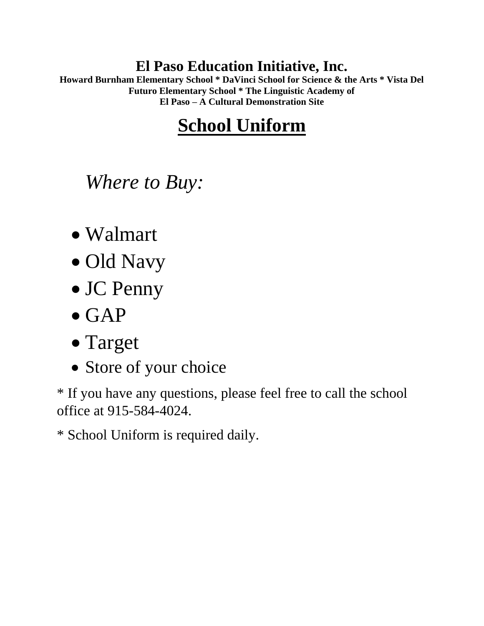#### **El Paso Education Initiative, Inc.**

**Howard Burnham Elementary School \* DaVinci School for Science & the Arts \* Vista Del Futuro Elementary School \* The Linguistic Academy of El Paso – A Cultural Demonstration Site**

# **School Uniform**

*Where to Buy:*

- Walmart
- Old Navy
- JC Penny
- GAP
- Target
- Store of your choice

\* If you have any questions, please feel free to call the school office at 915-584-4024.

\* School Uniform is required daily.